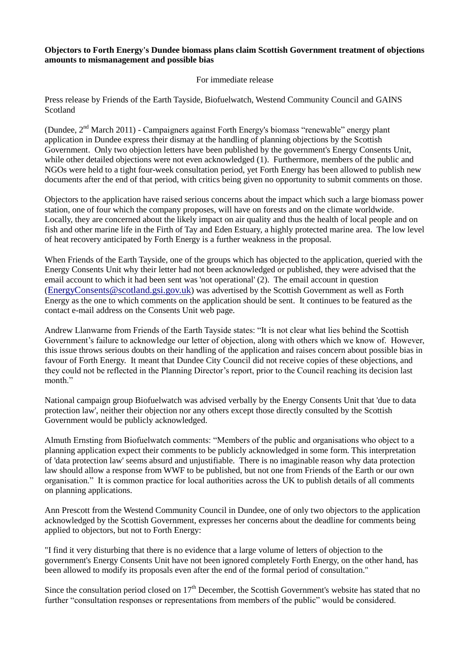## **Objectors to Forth Energy's Dundee biomass plans claim Scottish Government treatment of objections amounts to mismanagement and possible bias**

## For immediate release

Press release by Friends of the Earth Tayside, Biofuelwatch, Westend Community Council and GAINS Scotland

(Dundee,  $2<sup>nd</sup> March 2011$ ) - Campaigners against Forth Energy's biomass "renewable" energy plant application in Dundee express their dismay at the handling of planning objections by the Scottish Government. Only two objection letters have been published by the government's Energy Consents Unit, while other detailed objections were not even acknowledged (1). Furthermore, members of the public and NGOs were held to a tight four-week consultation period, yet Forth Energy has been allowed to publish new documents after the end of that period, with critics being given no opportunity to submit comments on those.

Objectors to the application have raised serious concerns about the impact which such a large biomass power station, one of four which the company proposes, will have on forests and on the climate worldwide. Locally, they are concerned about the likely impact on air quality and thus the health of local people and on fish and other marine life in the Firth of Tay and Eden Estuary, a highly protected marine area. The low level of heat recovery anticipated by Forth Energy is a further weakness in the proposal.

When Friends of the Earth Tayside, one of the groups which has objected to the application, queried with the Energy Consents Unit why their letter had not been acknowledged or published, they were advised that the email account to which it had been sent was 'not operational' (2). The email account in question ([EnergyConsents@scotland.gsi.gov.uk](mailto:EnergyConsents@scotland.gsi.gov.uk)) was advertised by the Scottish Government as well as Forth Energy as the one to which comments on the application should be sent. It continues to be featured as the contact e-mail address on the Consents Unit web page.

Andrew Llanwarne from Friends of the Earth Tayside states: "It is not clear what lies behind the Scottish Government's failure to acknowledge our letter of objection, along with others which we know of. However, this issue throws serious doubts on their handling of the application and raises concern about possible bias in favour of Forth Energy. It meant that Dundee City Council did not receive copies of these objections, and they could not be reflected in the Planning Director's report, prior to the Council reaching its decision last month."

National campaign group Biofuelwatch was advised verbally by the Energy Consents Unit that 'due to data protection law', neither their objection nor any others except those directly consulted by the Scottish Government would be publicly acknowledged.

Almuth Ernsting from Biofuelwatch comments: "Members of the public and organisations who object to a planning application expect their comments to be publicly acknowledged in some form. This interpretation of 'data protection law' seems absurd and unjustifiable. There is no imaginable reason why data protection law should allow a response from WWF to be published, but not one from Friends of the Earth or our own organisation." It is common practice for local authorities across the UK to publish details of all comments on planning applications.

Ann Prescott from the Westend Community Council in Dundee, one of only two objectors to the application acknowledged by the Scottish Government, expresses her concerns about the deadline for comments being applied to objectors, but not to Forth Energy:

"I find it very disturbing that there is no evidence that a large volume of letters of objection to the government's Energy Consents Unit have not been ignored completely Forth Energy, on the other hand, has been allowed to modify its proposals even after the end of the formal period of consultation."

Since the consultation period closed on 17<sup>th</sup> December, the Scottish Government's website has stated that no further "consultation responses or representations from members of the public" would be considered.